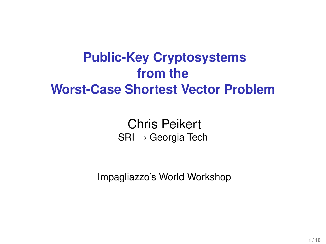# **Public-Key Cryptosystems from the Worst-Case Shortest Vector Problem**

Chris Peikert SRI → Georgia Tech

Impagliazzo's World Workshop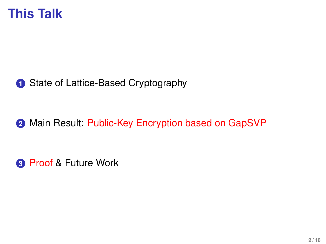

### **1** State of Lattice-Based Cryptography

**2** Main Result: Public-Key Encryption based on GapSVP

**3** Proof & Future Work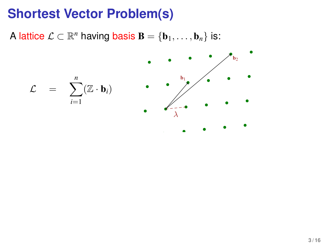A lattice  $\mathcal{L} \subset \mathbb{R}^n$  having basis  $\mathbf{B} = \{\mathbf{b}_1, \dots, \mathbf{b}_n\}$  is:

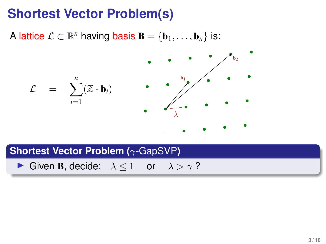A lattice  $\mathcal{L} \subset \mathbb{R}^n$  having basis  $\mathbf{B} = \{\mathbf{b}_1, \dots, \mathbf{b}_n\}$  is:



#### **Shortest Vector Problem (**γ**-**GapSVP**)**

**►** Given **B**, decide:  $\lambda < 1$  or  $\lambda > \gamma$ ?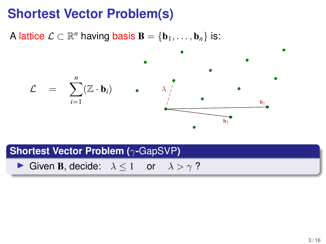A lattice  $\mathcal{L} \subset \mathbb{R}^n$  having basis  $\mathbf{B} = \{\mathbf{b}_1, \dots, \mathbf{b}_n\}$  is:



#### **Shortest Vector Problem (**γ**-**GapSVP**)**

**►** Given **B**, decide:  $\lambda < 1$  or  $\lambda > \gamma$ ?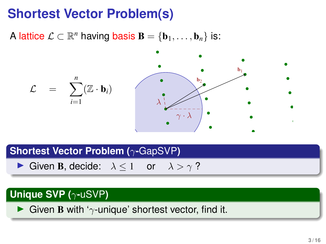A lattice  $\mathcal{L} \subset \mathbb{R}^n$  having basis  $\mathbf{B} = \{\mathbf{b}_1, \dots, \mathbf{b}_n\}$  is:



**Shortest Vector Problem (**γ**-**GapSVP**)**

**►** Given **B**, decide:  $\lambda < 1$  or  $\lambda > \gamma$ ?

### **Unique SVP (**γ**-**uSVP**)**

**IGIVER B with '**γ-unique' shortest vector, find it.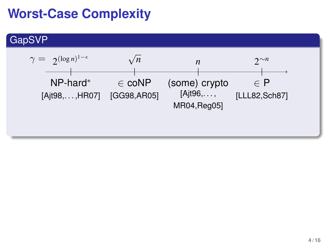# **Worst-Case Complexity**

### GapSVP

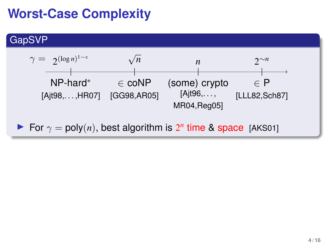# **Worst-Case Complexity**

### GapSVP



For  $\gamma = \text{poly}(n)$ , best algorithm is  $2^n$  time & space [AKS01]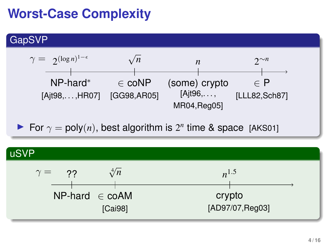# **Worst-Case Complexity**

### GapSVP



For  $\gamma = \text{poly}(n)$ , best algorithm is  $2^n$  time & space [AKS01]

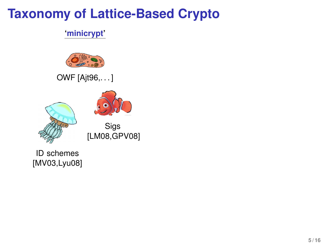#### **'minicrypt'**



OWF [Ajt96,. . . ]





Sigs [LM08,GPV08]

ID schemes [MV03,Lyu08]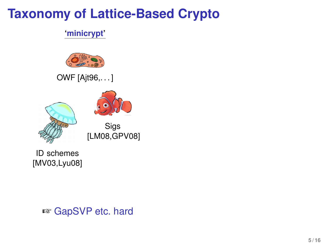#### **'minicrypt'**



OWF [Ajt96,. . . ]



Sigs [LM08,GPV08]

ID schemes [MV03,Lyu08]

☞ GapSVP etc. hard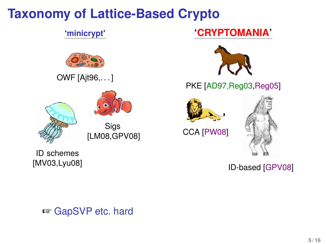#### **'minicrypt'**



OWF [Ajt96,. . . ]





Sigs [LM08,GPV08]

ID schemes [MV03,Lyu08]

### **'CRYPTOMANIA'**



PKE [AD97,Reg03,Reg05]



CCA [PW08]



ID-based [GPV08]

☞ GapSVP etc. hard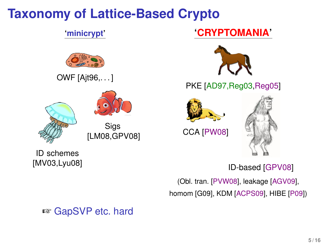#### **'minicrypt'**



OWF [Ajt96,. . . ]





[LM08,GPV08]

ID schemes [MV03,Lyu08]

### **'CRYPTOMANIA'**



PKE [AD97,Reg03,Reg05]



CCA [PW08]



ID-based [GPV08]

(Obl. tran. [PVW08], leakage [AGV09], homom [G09], KDM [ACPS09], HIBE [P09])

☞ GapSVP etc. hard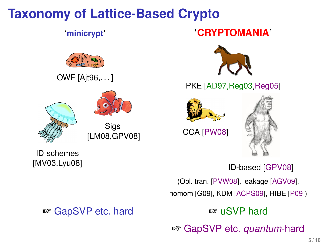#### **'minicrypt'**



OWF [Ajt96,. . . ]





[LM08,GPV08]

ID schemes [MV03,Lyu08]

### ☞ GapSVP etc. hard ☞ uSVP hard

### **'CRYPTOMANIA'**



PKE [AD97,Reg03,Reg05]



CCA [PW08]



ID-based [GPV08]

(Obl. tran. [PVW08], leakage [AGV09], homom [G09], KDM [ACPS09], HIBE [P09])

☞ GapSVP etc. *quantum*-hard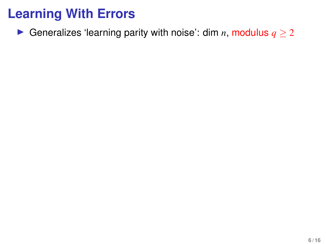**►** Generalizes 'learning parity with noise': dim *n*, modulus  $q \ge 2$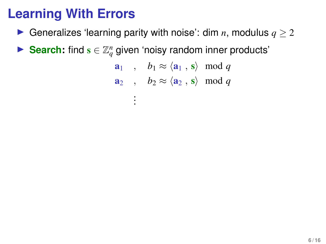- **►** Generalizes 'learning parity with noise': dim  $n$ , modulus  $q \ge 2$
- ► Search: find  $\mathbf{s} \in \mathbb{Z}_q^n$  given 'noisy random inner products'

$$
\begin{array}{ll}\n\mathbf{a}_1 & , & b_1 \approx \langle \mathbf{a}_1 , \mathbf{s} \rangle \mod q \\
\mathbf{a}_2 & , & b_2 \approx \langle \mathbf{a}_2 , \mathbf{s} \rangle \mod q \\
\vdots\n\end{array}
$$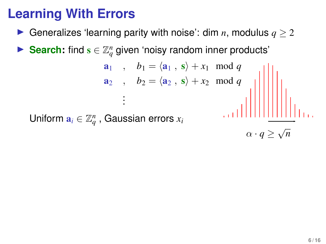- ▶ Generalizes 'learning parity with noise': dim  $n$ , modulus  $q > 2$
- ► Search: find  $\mathbf{s} \in \mathbb{Z}_q^n$  given 'noisy random inner products'

 $a_1$ ,  $b_1 = \langle a_1, s \rangle + x_1 \mod q$  $a_2$ ,  $b_2 = \langle a_2, s \rangle + x_2 \mod q$ . . . Uniform  $\mathbf{a}_i \in \mathbb{Z}_q^n$  , Gaussian errors  $x_i$ 

 $\alpha \cdot q \geq \sqrt{ }$ *n*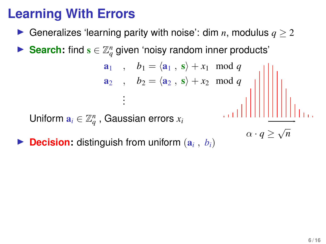▶ Generalizes 'learning parity with noise': dim  $n$ , modulus  $q > 2$ 

 $a_1$ ,  $b_1 = \langle a_1, s \rangle + x_1 \mod q$  $a_2$ ,  $b_2 = \langle a_2, s \rangle + x_2 \mod q$ 

► Search: find  $\mathbf{s} \in \mathbb{Z}_q^n$  given 'noisy random inner products'

. Uniform  $\mathbf{a}_i \in \mathbb{Z}_q^n$  , Gaussian errors  $x_i$ 

. .

 $\triangleright$  **Decision:** distinguish from uniform  $(a_i, b_i)$ 

 $\alpha \cdot q \geq \sqrt{ }$ 

*n*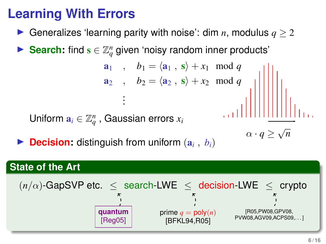▶ Generalizes 'learning parity with noise': dim  $n$ , modulus  $q > 2$ 

 $a_1$ ,  $b_1 = \langle a_1, s \rangle + x_1 \mod q$  $a_2$ ,  $b_2 = \langle a_2, s \rangle + x_2 \mod q$ 

► Search: find  $\mathbf{s} \in \mathbb{Z}_q^n$  given 'noisy random inner products'

Uniform  $\mathbf{a}_i \in \mathbb{Z}_q^n$  , Gaussian errors  $x_i$ 

 $\triangleright$  **Decision:** distinguish from uniform  $(a_i, b_i)$ 

. . .

### **State of the Art**

$$
(n/\alpha)\text{-GapSVP etc.} \leq \text{search-LWE} \leq \text{decision-LWE} \leq \text{crypto}
$$
\n
$$
\text{quantum} \qquad \text{prime} \qquad \text{prime} \qquad \text{prime} \qquad \text{prime} \qquad \text{prime} \qquad \text{prime} \qquad \text{prime} \qquad \text{prime} \qquad \text{prime} \qquad \text{prime} \qquad \text{prime} \qquad \text{prime} \qquad \text{prime} \qquad \text{prime} \qquad \text{prime} \qquad \text{prime} \qquad \text{prime} \qquad \text{prime} \qquad \text{prime} \qquad \text{prime} \qquad \text{prime} \qquad \text{prime} \qquad \text{prime} \qquad \text{prime} \qquad \text{prime} \qquad \text{prime} \qquad \text{prime} \qquad \text{prime} \qquad \text{prime} \qquad \text{prime} \qquad \text{prime} \qquad \text{prime} \qquad \text{prime} \qquad \text{prime} \qquad \text{prime} \qquad \text{prime} \qquad \text{prime} \qquad \text{prime} \qquad \text{prime} \qquad \text{prime} \qquad \text{prime} \qquad \text{prime} \qquad \text{prime} \qquad \text{prime} \qquad \text{prime} \qquad \text{prime} \qquad \text{prime} \qquad \text{prime} \qquad \text{prime} \qquad \text{prime} \qquad \text{prime} \qquad \text{prime} \qquad \text{prime} \qquad \text{prime} \qquad \text{prime} \qquad \text{prime} \qquad \text{prime} \qquad \text{prime} \qquad \text{prime} \qquad \text{prime} \qquad \text{prime} \qquad \text{prime} \qquad \text{prime} \qquad \text{prime} \qquad \text{prime} \qquad \text{prime} \qquad \text{prime} \qquad \text{prime} \qquad \text{prime} \qquad \text{prime} \qquad \text{prime} \qquad \text{prime} \qquad \text{prime} \qquad \text{prime} \qquad \text{prime} \qquad \text{prime} \qquad \text{prime} \qquad \text{prime} \qquad \text{prime} \qquad \text{prime} \qquad \text{prime} \qquad \text{prime} \qquad \text{prime} \qquad \text{prime} \qquad \text{prime} \qquad \text{prime} \qquad \text{prime} \qquad \text{prime
$$

 $\alpha \cdot q \geq \sqrt{ }$ 

*n*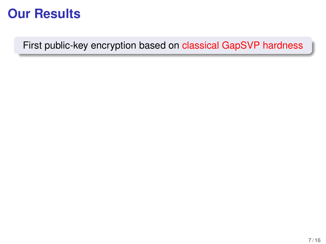First public-key encryption based on classical GapSVP hardness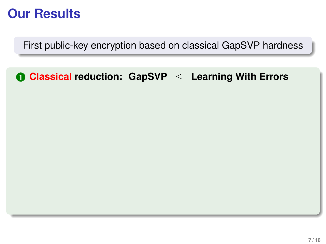First public-key encryption based on classical GapSVP hardness

### **1 Classical reduction: GapSVP** ≤ **Learning With Errors**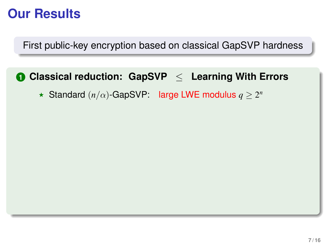First public-key encryption based on classical GapSVP hardness

### **1 Classical reduction: GapSVP** ≤ **Learning With Errors**

 $\star$  Standard  $(n/\alpha)$ -GapSVP: large LWE modulus  $q \geq 2^n$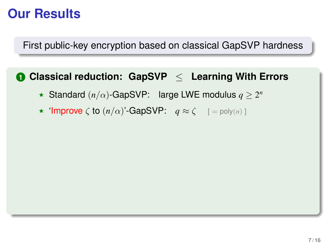First public-key encryption based on classical GapSVP hardness

#### **1 Classical reduction: GapSVP** ≤ **Learning With Errors**

- $\star$  Standard (*n*/ $\alpha$ )-GapSVP: large LWE modulus  $q ≥ 2^n$
- $\star$  'Improve  $\zeta$  to  $(n/\alpha)$ '-GapSVP:  $q \approx \zeta$  [= poly $(n)$ ]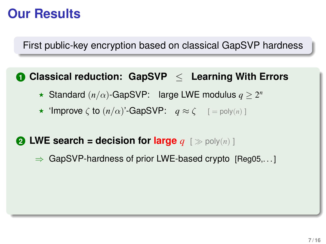First public-key encryption based on classical GapSVP hardness

#### **1 Classical reduction: GapSVP** ≤ **Learning With Errors**

- $\star$  Standard (*n*/ $\alpha$ )-GapSVP: large LWE modulus  $q ≥ 2^n$
- $\star$  'Improve  $\zeta$  to  $(n/\alpha)$ '-GapSVP:  $q \approx \zeta$  [= poly $(n)$ ]

#### **2 LWE search = decision for large**  $q \in \mathcal{P}$  poly(*n*) ]

 $\Rightarrow$  GapSVP-hardness of prior LWE-based crypto [Reg05,...]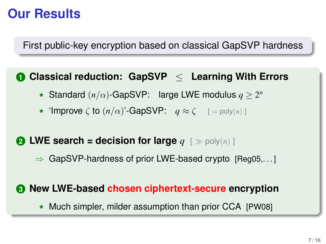First public-key encryption based on classical GapSVP hardness

#### **1 Classical reduction: GapSVP** ≤ **Learning With Errors**

- $\star$  Standard (*n*/ $\alpha$ )-GapSVP: large LWE modulus  $q ≥ 2^n$
- $\star$  'Improve  $\zeta$  to  $(n/\alpha)$ '-GapSVP:  $q \approx \zeta$  [= poly $(n)$ ]

#### **2 LWE search = decision for large**  $q \leq p \text{poly}(n)$  ]

 $\Rightarrow$  GapSVP-hardness of prior LWE-based crypto [Reg05,...]

#### **3 New LWE-based chosen ciphertext-secure encryption**

 $\star$  Much simpler, milder assumption than prior CCA [PW08]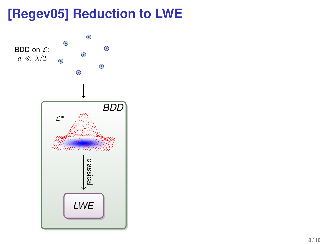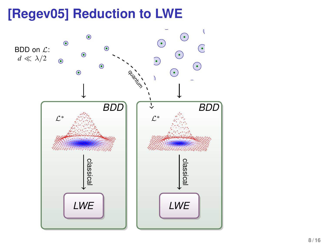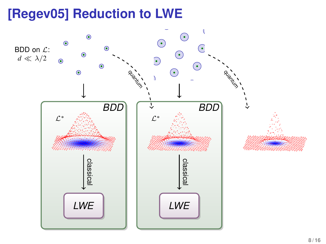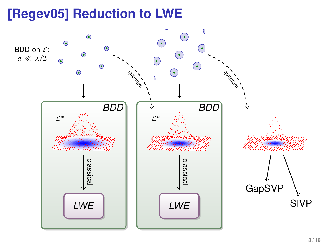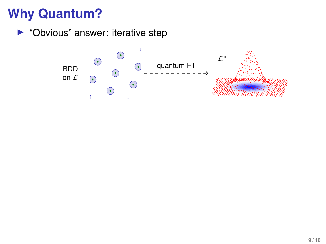$\blacktriangleright$  "Obvious" answer: iterative step

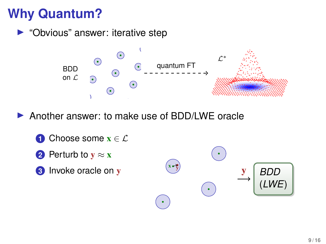• "Obvious" answer: iterative step



- ▶ Another answer: to make use of BDD/LWE oracle
	- **1** Choose some  $\mathbf{x} \in \mathcal{L}$
	- **2** Perturb to  $\mathbf{v} \approx \mathbf{x}$
	- **3** Invoke oracle on y

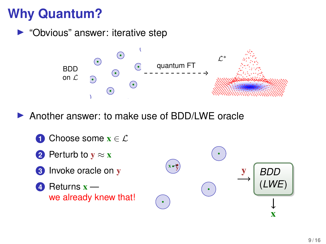▶ "Obvious" answer: iterative step



Another answer: to make use of BDD/LWE oracle

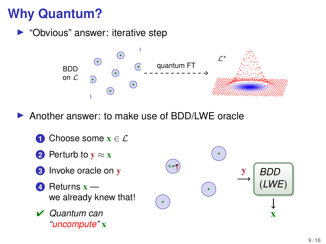$\blacktriangleright$  "Obvious" answer: iterative step



- Another answer: to make use of BDD/LWE oracle
	- **1** Choose some  $\mathbf{x} \in \mathcal{L}$
	- **2** Perturb to  $v \approx x$
	- **3** Invoke oracle on y
	- **4** Returns x we already knew that!
	- ✔ *Quantum can "uncompute"* x

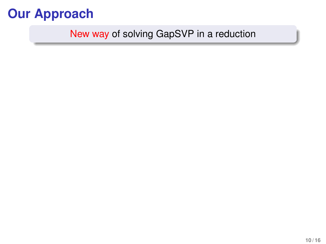## **Our Approach**

### New way of solving GapSVP in a reduction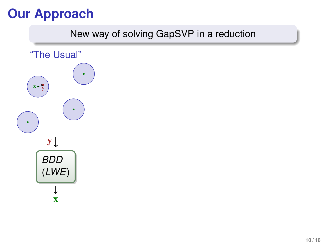# **Our Approach**

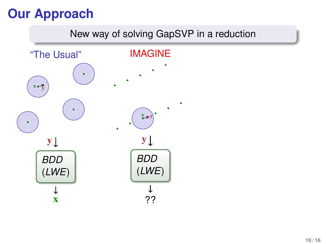# **Our Approach**

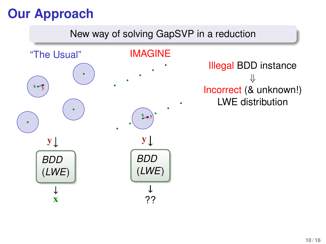# **Our Approach**

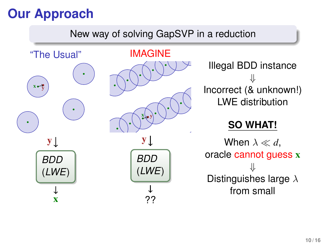# **Our Approach**

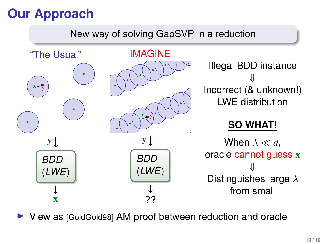# **Our Approach**



View as [GoldGold98] AM proof between reduction and oracle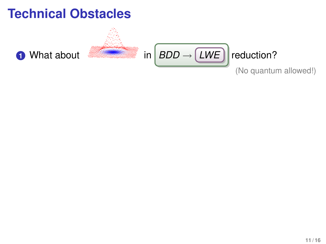### **Technical Obstacles**

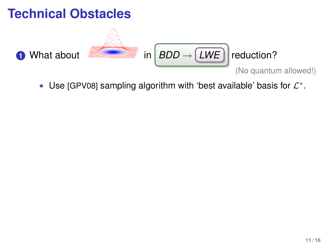

 $\star$  Use [GPV08] sampling algorithm with 'best available' basis for  $\mathcal{L}^*$ .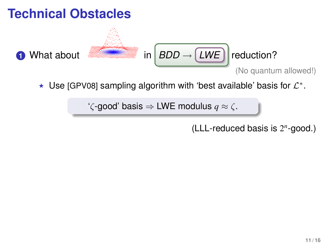# **Technical Obstacles 1** What about **in** *BDD* → *LWE* reduction? (No quantum allowed!)

 $\star$  Use [GPV08] sampling algorithm with 'best available' basis for  $\mathcal{L}^*$ .

' $\zeta$ -good' basis  $\Rightarrow$  LWE modulus  $q \approx \zeta$ .

(LLL-reduced basis is 2 *n* -good.)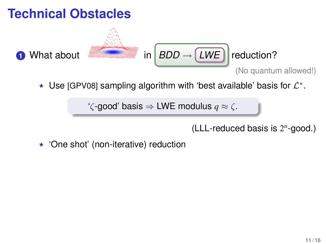

 $\star$  Use [GPV08] sampling algorithm with 'best available' basis for  $\mathcal{L}^*$ .

' $\zeta$ -good' basis  $\Rightarrow$  LWE modulus  $q \approx \zeta$ .

(LLL-reduced basis is 2 *n* -good.)

 $\star$  'One shot' (non-iterative) reduction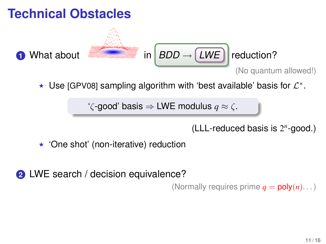

 $\star$  Use [GPV08] sampling algorithm with 'best available' basis for  $\mathcal{L}^*$ .

' $\zeta$ -good' basis  $\Rightarrow$  LWE modulus  $q \approx \zeta$ .

(LLL-reduced basis is 2 *n* -good.)

 $\star$  'One shot' (non-iterative) reduction

**2** LWE search / decision equivalence?

(Normally requires prime  $q = \text{poly}(n) \dots$ )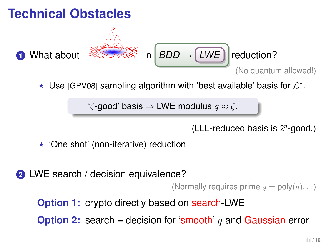

(LLL-reduced basis is 2 *n* -good.)

 $\star$  'One shot' (non-iterative) reduction

**2** LWE search / decision equivalence?

(Normally requires prime  $q = \text{poly}(n) \dots$ )

**Option 1:** crypto directly based on search-LWE

**Option 2:** search = decision for 'smooth' *q* and Gaussian error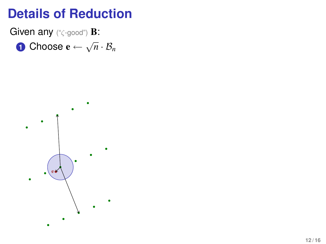Given any ("ζ-good") B:

**1** Choose  $\mathbf{e} \leftarrow \sqrt{n} \cdot \mathcal{B}_n$ 

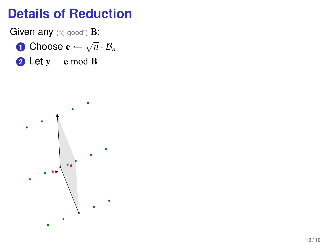Given any ("ζ-good") B:

- **1** Choose  $\mathbf{e} \leftarrow \sqrt{n} \cdot \mathcal{B}_n$
- **2** Let  $y = e$  mod **B**

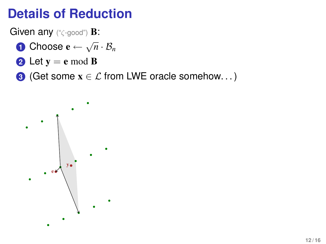Given any ("ζ-good") B:

- **1** Choose  $\mathbf{e} \leftarrow \sqrt{n} \cdot \mathcal{B}_n$
- **2** Let  $y = e$  mod **B**
- **3** (Get some  $x \in \mathcal{L}$  from LWE oracle somehow...)

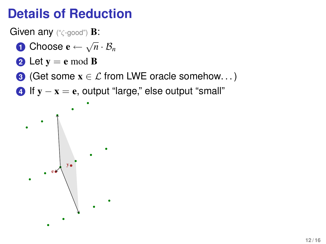Given any ("ζ-good") **B:** 

- **1** Choose  $\mathbf{e} \leftarrow \sqrt{n} \cdot \mathcal{B}_n$
- **2** Let  $y = e$  mod **B**
- **3** (Get some  $x \in \mathcal{L}$  from LWE oracle somehow...)
- **4** If  $y x = e$ , output "large," else output "small"

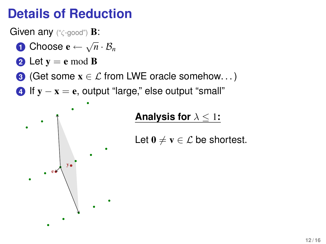Given any ("ζ-good") B:

- **1** Choose  $\mathbf{e} \leftarrow \sqrt{n} \cdot \mathcal{B}_n$
- **2** Let  $y = e$  mod **B**

e y

- **3** (Get some  $x \in \mathcal{L}$  from LWE oracle somehow...)
- **4** If  $y x = e$ , output "large," else output "small"



Let  $0 \neq v \in \mathcal{L}$  be shortest.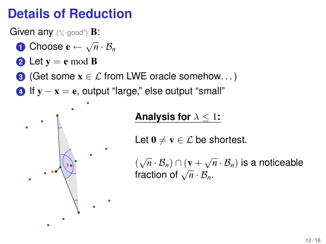Given any ("ζ-good") **B**:

- **1** Choose  $\mathbf{e} \leftarrow \sqrt{n} \cdot \mathcal{B}_n$
- **2** Let  $y = e$  mod **B**
- **3** (Get some  $x \in \mathcal{L}$  from LWE oracle somehow...)
- **4** If  $y x = e$ , output "large," else output "small"



#### **Analysis for** λ ≤ 1**:**

Let  $0 \neq v \in \mathcal{L}$  be shortest.

 $(\sqrt{n} \cdot \mathcal{B}_n) \cap (\mathbf{v} + \sqrt{n} \cdot \mathcal{B}_n)$  is a noticeable  $(\sqrt{n} \cdot B_n)$ <sup>1</sup>  $(\sqrt{n} \cdot B_n)$ <br>fraction of  $\sqrt{n} \cdot B_n$ .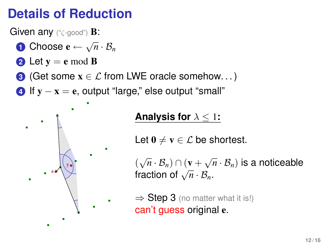Given any ("ζ-good") B:

- **1** Choose  $\mathbf{e} \leftarrow \sqrt{n} \cdot \mathcal{B}_n$
- **2** Let  $y = e$  mod **B**
- **3** (Get some  $x \in \mathcal{L}$  from LWE oracle somehow...)
- **4** If  $y x = e$ , output "large," else output "small"



#### **Analysis for** λ ≤ 1**:**

Let  $0 \neq v \in \mathcal{L}$  be shortest.

 $(\sqrt{n} \cdot \mathcal{B}_n) \cap (\mathbf{v} + \sqrt{n} \cdot \mathcal{B}_n)$  is a noticeable  $(\sqrt{n} \cdot B_n)$ <sup>1</sup>  $(\sqrt{n} \cdot B_n)$ <br>fraction of  $\sqrt{n} \cdot B_n$ .

 $\Rightarrow$  Step 3 (no matter what it is!) can't guess original e.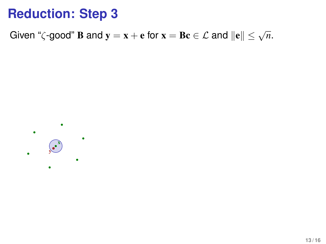Given " $\zeta$ -good" **B** and  $\mathbf{y} = \mathbf{x} + \mathbf{e}$  for  $\mathbf{x} = \mathbf{B} \mathbf{c} \in \mathcal{L}$  and  $\|\mathbf{e}\| \leq \sqrt{n}$ .

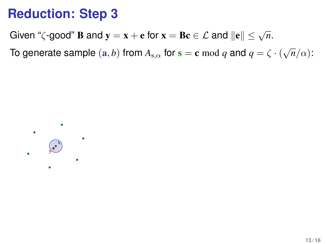Given " $\zeta$ -good" **B** and  $\mathbf{y} = \mathbf{x} + \mathbf{e}$  for  $\mathbf{x} = \mathbf{B} \mathbf{c} \in \mathcal{L}$  and  $\|\mathbf{e}\| \leq \sqrt{n}$ .

To generate sample  $(\mathbf{a}, b)$  from  $A_{\mathbf{s}, \alpha}$  for  $\mathbf{s} = \mathbf{c} \bmod q$  and  $q = \zeta \cdot (\sqrt{n}/\alpha)$ :

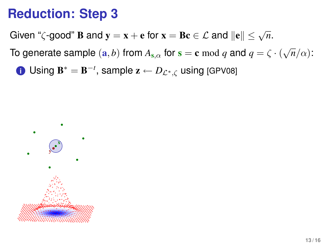Given " $\zeta$ -good" **B** and  $\mathbf{y} = \mathbf{x} + \mathbf{e}$  for  $\mathbf{x} = \mathbf{B} \mathbf{c} \in \mathcal{L}$  and  $\|\mathbf{e}\| \leq \sqrt{n}$ .

To generate sample  $(\mathbf{a}, b)$  from  $A_{\mathbf{s}, \alpha}$  for  $\mathbf{s} = \mathbf{c} \bmod q$  and  $q = \zeta \cdot (\sqrt{n}/\alpha)$ :

**i** Using  $\mathbf{B}^* = \mathbf{B}^{-t}$ , sample  $\mathbf{z} \leftarrow D_{\mathcal{L}^*,\zeta}$  using [GPV08]

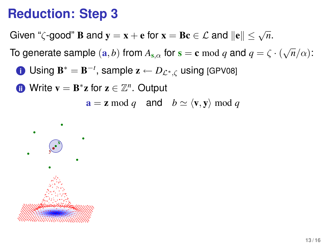Given " $\zeta$ -good" **B** and  $\mathbf{y} = \mathbf{x} + \mathbf{e}$  for  $\mathbf{x} = \mathbf{B} \mathbf{c} \in \mathcal{L}$  and  $\|\mathbf{e}\| \leq \sqrt{n}$ .

To generate sample  $(\mathbf{a}, b)$  from  $A_{\mathbf{s}, \alpha}$  for  $\mathbf{s} = \mathbf{c} \bmod q$  and  $q = \zeta \cdot (\sqrt{n}/\alpha)$ :

**i** Using  $\mathbf{B}^* = \mathbf{B}^{-t}$ , sample  $\mathbf{z} \leftarrow D_{\mathcal{L}^*,\zeta}$  using [GPV08]

**ii** Write **v** = **B**<sup>\*</sup>**z** for **z** ∈  $\mathbb{Z}^n$ . Output

 $a = z \mod q$  and  $b \simeq \langle v, y \rangle \mod q$ 

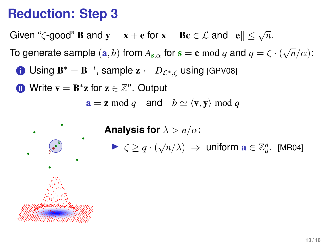Given " $\zeta$ -good" **B** and  $\mathbf{y} = \mathbf{x} + \mathbf{e}$  for  $\mathbf{x} = \mathbf{B} \mathbf{c} \in \mathcal{L}$  and  $\|\mathbf{e}\| \leq \sqrt{n}$ .

To generate sample  $(\mathbf{a}, b)$  from  $A_{\mathbf{s}, \alpha}$  for  $\mathbf{s} = \mathbf{c} \bmod q$  and  $q = \zeta \cdot (\sqrt{n}/\alpha)$ :

**i** Using  $\mathbf{B}^* = \mathbf{B}^{-t}$ , sample  $\mathbf{z} \leftarrow D_{\mathcal{L}^*,\zeta}$  using [GPV08]

**ii** Write **v** = **B**<sup>\*</sup>**z** for **z** ∈  $\mathbb{Z}^n$ . Output

 $a = z \mod q$  and  $b \simeq \langle v, y \rangle \mod q$ 



**Analysis for**  $\lambda > n/\alpha$ :  $\blacktriangleright \zeta \geq q \cdot (\sqrt{n}/\lambda) \implies$  uniform  $\mathbf{a} \in \mathbb{Z}_q^n$ . [MR04]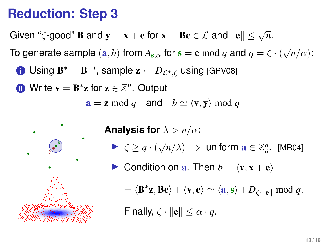Given " $\zeta$ -good" **B** and  $\mathbf{y} = \mathbf{x} + \mathbf{e}$  for  $\mathbf{x} = \mathbf{B} \mathbf{c} \in \mathcal{L}$  and  $\|\mathbf{e}\| \leq \sqrt{n}$ .

To generate sample  $(\mathbf{a}, b)$  from  $A_{\mathbf{s}, \alpha}$  for  $\mathbf{s} = \mathbf{c} \bmod q$  and  $q = \zeta \cdot (\sqrt{n}/\alpha)$ :

**i** Using  $\mathbf{B}^* = \mathbf{B}^{-t}$ , sample  $\mathbf{z} \leftarrow D_{\mathcal{L}^*,\zeta}$  using [GPV08]

**ii** Write **v** = **B**<sup>\*</sup>**z** for **z** ∈  $\mathbb{Z}^n$ . Output

 $a = z \mod q$  and  $b \simeq \langle v, y \rangle \mod q$ 



**Analysis for**  $\lambda > n/\alpha$ :

- $\blacktriangleright \zeta \geq q \cdot (\sqrt{n}/\lambda) \implies$  uniform  $\mathbf{a} \in \mathbb{Z}_q^n$ . [MR04]
- **IDED** Condition on **a**. Then  $b = \langle \mathbf{v}, \mathbf{x} + \mathbf{e} \rangle$

 $= \langle \mathbf{B}^* \mathbf{z}, \mathbf{B} \mathbf{c} \rangle + \langle \mathbf{v}, \mathbf{e} \rangle \simeq \langle \mathbf{a}, \mathbf{s} \rangle + D_{\zeta \cdot ||\mathbf{e}||} \bmod q.$ 

Finally,  $\zeta \cdot ||\mathbf{e}|| < \alpha \cdot q$ .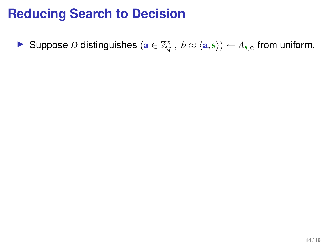**►** Suppose *D* distinguishes  $(\mathbf{a} \in \mathbb{Z}_q^n, b \approx \langle \mathbf{a}, \mathbf{s} \rangle) \leftarrow A_{\mathbf{s},\alpha}$  from uniform.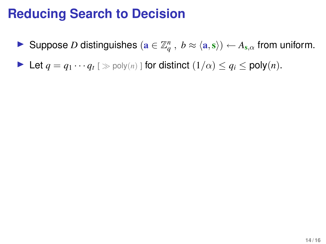- **►** Suppose *D* distinguishes  $(\mathbf{a} \in \mathbb{Z}_q^n, b \approx \langle \mathbf{a}, \mathbf{s} \rangle) \leftarrow A_{\mathbf{s},\alpha}$  from uniform.
- $\blacktriangleright$  Let *q* = *q*<sub>1</sub> · · *· q*<sub>*t*</sub> [ ≫ poly(*n*) ] for distinct (1/α) ≤ *q*<sub>*i*</sub> ≤ poly(*n*).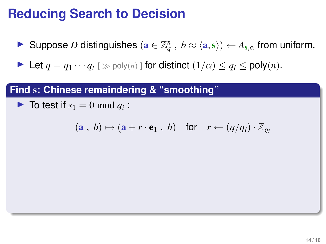**►** Suppose *D* distinguishes  $(\mathbf{a} \in \mathbb{Z}_q^n, b \approx \langle \mathbf{a}, \mathbf{s} \rangle) \leftarrow A_{\mathbf{s},\alpha}$  from uniform.

 $\blacktriangleright$  Let *q* = *q*<sub>1</sub> · · *· q*<sub>*t*</sub> [ ≫ poly(*n*) ] for distinct (1/α) ≤ *q*<sub>*i*</sub> ≤ poly(*n*).

#### **Find** s**: Chinese remaindering & "smoothing"**

 $\blacktriangleright$  To test if  $s_1 = 0 \text{ mod } q_i$ :

$$
(\mathbf{a} \ , \ b) \mapsto (\mathbf{a} + r \cdot \mathbf{e}_1 \ , \ b) \quad \text{for} \quad r \leftarrow (q/q_i) \cdot \mathbb{Z}_{q_i}
$$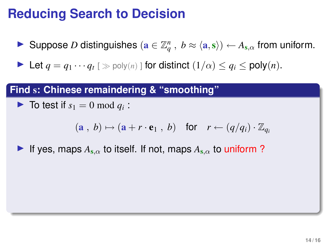**►** Suppose *D* distinguishes  $(\mathbf{a} \in \mathbb{Z}_q^n, b \approx \langle \mathbf{a}, \mathbf{s} \rangle) \leftarrow A_{\mathbf{s},\alpha}$  from uniform.

 $\blacktriangleright$  Let *q* = *q*<sub>1</sub> · · *· q*<sub>*t*</sub> [ ≫ poly(*n*) ] for distinct (1/α) ≤ *q*<sub>*i*</sub> ≤ poly(*n*).

#### **Find** s**: Chinese remaindering & "smoothing"**

 $\blacktriangleright$  To test if  $s_1 = 0 \text{ mod } q_i$ :

$$
(\mathbf{a} \, , \, b) \mapsto (\mathbf{a} + r \cdot \mathbf{e}_1 \, , \, b) \quad \text{for} \quad r \leftarrow (q/q_i) \cdot \mathbb{Z}_{q_i}
$$

If yes, maps  $A_{s,\alpha}$  to itself. If not, maps  $A_{s,\alpha}$  to uniform?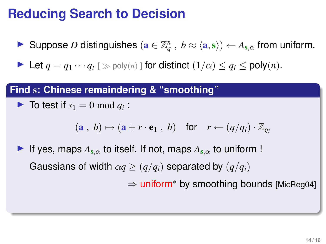**►** Suppose *D* distinguishes  $(\mathbf{a} \in \mathbb{Z}_q^n, b \approx \langle \mathbf{a}, \mathbf{s} \rangle) \leftarrow A_{\mathbf{s},\alpha}$  from uniform.

 $\blacktriangleright$  Let *q* = *q*<sub>1</sub> · · *· q*<sub>*t*</sub> [ ≫ poly(*n*) ] for distinct (1/α) ≤ *q*<sub>*i*</sub> ≤ poly(*n*).

#### **Find** s**: Chinese remaindering & "smoothing"**

 $\blacktriangleright$  To test if  $s_1 = 0 \text{ mod } q_i$ :

$$
(\mathbf{a} \, , \, b) \mapsto (\mathbf{a} + r \cdot \mathbf{e}_1 \, , \, b) \quad \text{for} \quad r \leftarrow (q/q_i) \cdot \mathbb{Z}_{q_i}
$$

If yes, maps  $A_{s,\alpha}$  to itself. If not, maps  $A_{s,\alpha}$  to uniform ! Gaussians of width  $\alpha q \geq (q/q_i)$  separated by  $(q/q_i)$ ⇒ uniform<sup>∗</sup> by smoothing bounds [MicReg04]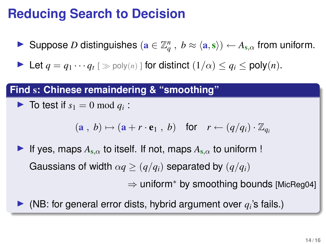**►** Suppose *D* distinguishes  $(\mathbf{a} \in \mathbb{Z}_q^n, b \approx \langle \mathbf{a}, \mathbf{s} \rangle) \leftarrow A_{\mathbf{s},\alpha}$  from uniform.

 $\blacktriangleright$  Let *q* = *q*<sub>1</sub> · · *· q*<sub>*t*</sub> [ ≫ poly(*n*) ] for distinct (1/α) ≤ *q*<sub>*i*</sub> ≤ poly(*n*).

#### **Find** s**: Chinese remaindering & "smoothing"**

```
\blacktriangleright To test if s_1 = 0 \text{ mod } q_i:
```

$$
(\mathbf{a} \, , \, b) \mapsto (\mathbf{a} + r \cdot \mathbf{e}_1 \, , \, b) \quad \text{for} \quad r \leftarrow (q/q_i) \cdot \mathbb{Z}_{q_i}
$$

- If yes, maps  $A_{s,\alpha}$  to itself. If not, maps  $A_{s,\alpha}$  to uniform ! Gaussians of width  $\alpha q \geq (q/q_i)$  separated by  $(q/q_i)$ ⇒ uniform<sup>∗</sup> by smoothing bounds [MicReg04]
- $\blacktriangleright$  (NB: for general error dists, hybrid argument over  $q_i$ 's fails.)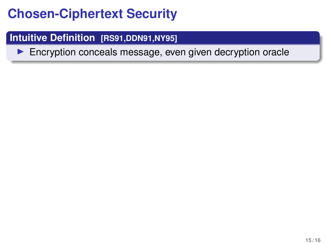#### **Intuitive Definition [RS91,DDN91,NY95]**

 $\blacktriangleright$  Encryption conceals message, even given decryption oracle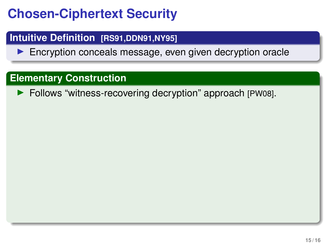#### **Intuitive Definition [RS91,DDN91,NY95]**

 $\blacktriangleright$  Encryption conceals message, even given decryption oracle

#### **Elementary Construction**

▶ Follows "witness-recovering decryption" approach [PW08].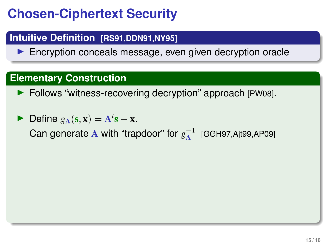#### **Intuitive Definition [RS91,DDN91,NY95]**

 $\blacktriangleright$  Encryption conceals message, even given decryption oracle

#### **Elementary Construction**

- ▶ Follows "witness-recovering decryption" approach [PW08].
- $\blacktriangleright$  Define  $g_{\mathbf{A}}(\mathbf{s}, \mathbf{x}) = \mathbf{A}^t \mathbf{s} + \mathbf{x}$ .

Can generate  ${\bf A}$  with "trapdoor" for  $g_{\rm A}^{-1}$  [GGH97,Ajt99,AP09]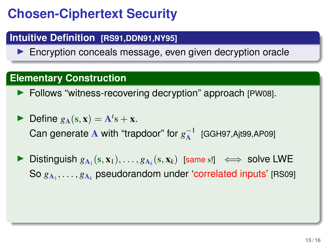#### **Intuitive Definition [RS91,DDN91,NY95]**

 $\blacktriangleright$  Encryption conceals message, even given decryption oracle

#### **Elementary Construction**

▶ Follows "witness-recovering decryption" approach [PW08].

 $\blacktriangleright$  Define  $g_{\mathbf{A}}(\mathbf{s}, \mathbf{x}) = \mathbf{A}^t \mathbf{s} + \mathbf{x}$ . Can generate  ${\bf A}$  with "trapdoor" for  $g_{\rm A}^{-1}$  [GGH97,Ajt99,AP09]

**►** Distinguish  $g_{A_1}(s, x_1), \ldots, g_{A_k}(s, x_k)$  [same s!]  $\iff$  solve LWE So  $g_{{\bf A}_1},\ldots,g_{{\bf A}_k}$  pseudorandom under 'correlated inputs' [RS09]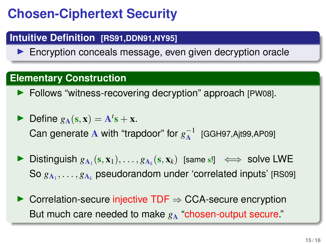#### **Intuitive Definition [RS91,DDN91,NY95]**

 $\blacktriangleright$  Encryption conceals message, even given decryption oracle

#### **Elementary Construction**

**Follows "witness-recovering decryption" approach [PW08].** 

 $\blacktriangleright$  Define  $g_{\mathbf{A}}(\mathbf{s}, \mathbf{x}) = \mathbf{A}^t \mathbf{s} + \mathbf{x}$ . Can generate  ${\bf A}$  with "trapdoor" for  $g_{\rm A}^{-1}$  [GGH97,Ajt99,AP09]

- **►** Distinguish  $g_{A_1}(s, x_1), \ldots, g_{A_k}(s, x_k)$  [same s!]  $\iff$  solve LWE So  $g_{{\bf A}_1},\ldots,g_{{\bf A}_k}$  pseudorandom under 'correlated inputs' [RS09]
- $\triangleright$  Correlation-secure injective TDF  $\Rightarrow$  CCA-secure encryption But much care needed to make  $g_A$  "chosen-output secure."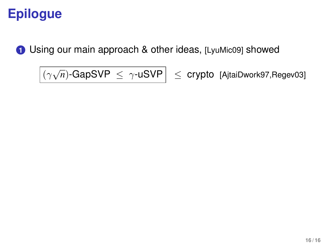### **Epilogue**

**1** Using our main approach & other ideas, [LyuMic09] showed

 $\overline{(\gamma\sqrt{n})$ -GapSVP  $\leq \gamma$ -uSVP  $\leq$  crypto [AjtaiDwork97,Regev03]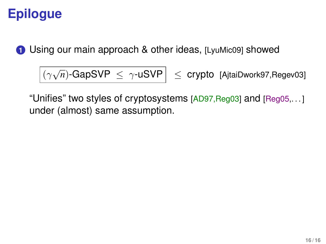# **Epilogue**

**1** Using our main approach & other ideas, [LyuMic09] showed

$$
\boxed{(\gamma\sqrt{n})\text{-GapSVP}} \leq \gamma\text{-uSVP}
$$

 $\leq$  **crypto** [AjtaiDwork97,Regev03]

"Unifies" two styles of cryptosystems [AD97,Reg03] and [Reg05,. . . ] under (almost) same assumption.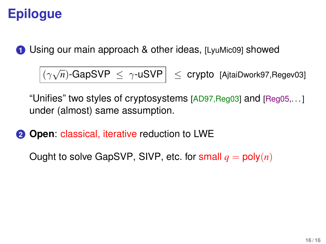# **Epilogue**

**1** Using our main approach & other ideas, [LyuMic09] showed

 $\frac{1}{\left(\gamma\sqrt{2}\right)^{1/2}}$ 

 $\leq$  **crypto** [AjtaiDwork97,Regev03]

"Unifies" two styles of cryptosystems [AD97,Reg03] and [Reg05,. . . ] under (almost) same assumption.

**2** Open: classical, iterative reduction to LWE

Ought to solve GapSVP, SIVP, etc. for small  $q = \text{poly}(n)$